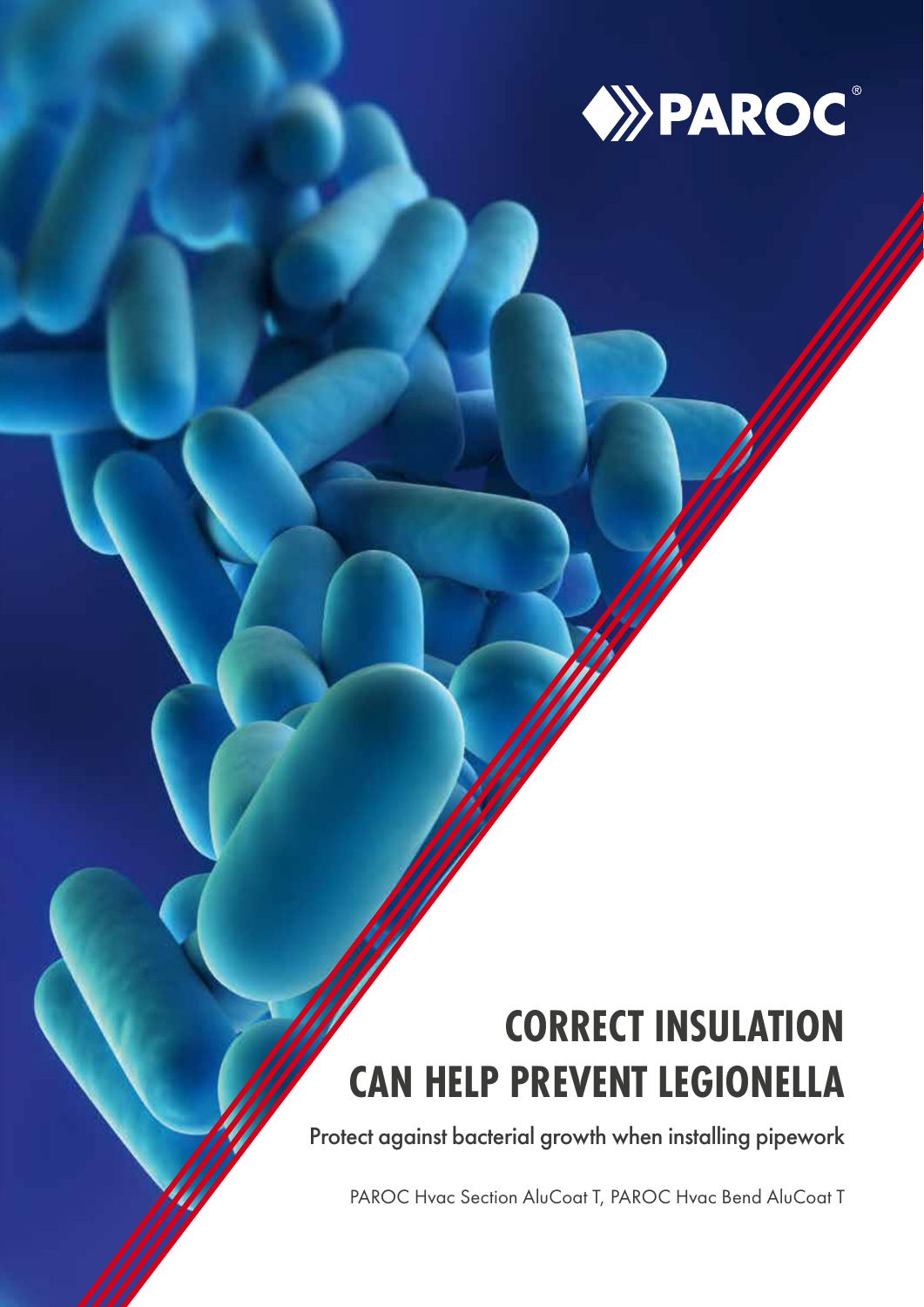

# **CORRECT INSULATION CAN HELP PREVENT LEGIONELLA**

Protect against bacterial growth when installing pipework

PAROC Hvac Section AluCoat T, PAROC Hvac Bend AluCoat T